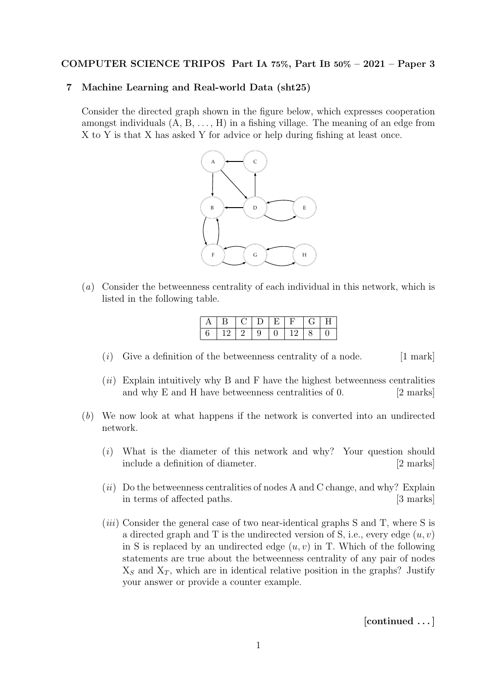## COMPUTER SCIENCE TRIPOS Part IA 75%, Part IB 50% – 2021 – Paper 3

## 7 Machine Learning and Real-world Data (sht25)

Consider the directed graph shown in the figure below, which expresses cooperation amongst individuals  $(A, B, \ldots, H)$  in a fishing village. The meaning of an edge from X to Y is that X has asked Y for advice or help during fishing at least once.



(a) Consider the betweenness centrality of each individual in this network, which is listed in the following table.

| $\vert B \vert$ | CIDIE. |          | $\left( \frac{1}{2} \right)$ | H <sub>1</sub> |
|-----------------|--------|----------|------------------------------|----------------|
|                 | - 9    | $+0+12+$ |                              | $\Box$         |

- $(i)$  Give a definition of the betweenness centrality of a node. [1 mark]
- $(ii)$  Explain intuitively why B and F have the highest betweenness centralities and why E and H have betweenness centralities of 0. [2 marks]
- (b) We now look at what happens if the network is converted into an undirected network.
	- (i) What is the diameter of this network and why? Your question should include a definition of diameter. [2 marks]
	- $(ii)$  Do the betweenness centralities of nodes A and C change, and why? Explain in terms of affected paths. [3 marks]
	- (*iii*) Consider the general case of two near-identical graphs  $S$  and  $T$ , where  $S$  is a directed graph and T is the undirected version of S, i.e., every edge  $(u, v)$ in S is replaced by an undirected edge  $(u, v)$  in T. Which of the following statements are true about the betweenness centrality of any pair of nodes  $X<sub>S</sub>$  and  $X<sub>T</sub>$ , which are in identical relative position in the graphs? Justify your answer or provide a counter example.

[continued . . . ]